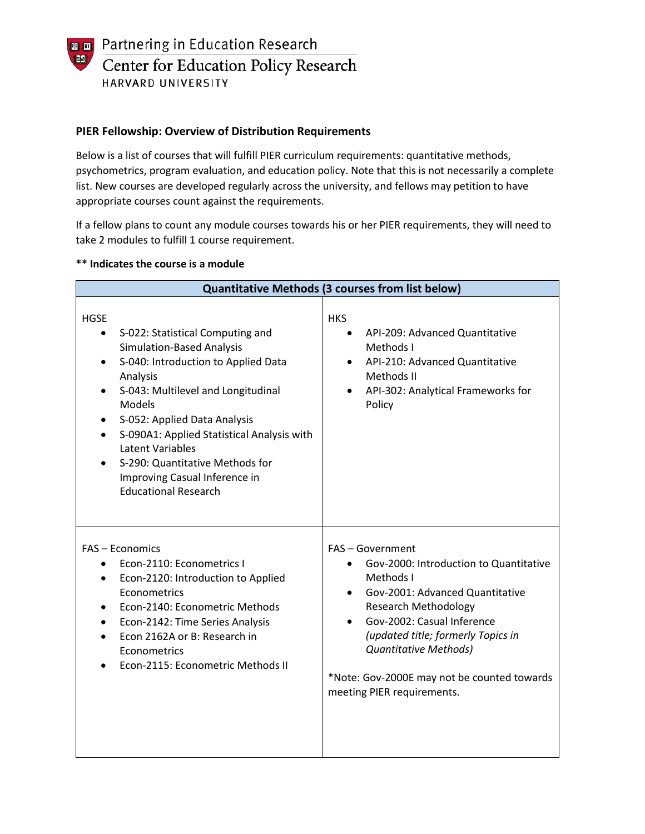**naint** Partnering in Education Research **TASI** Center for Education Policy Research HARVARD UNIVERSITY

## **PIER Fellowship: Overview of Distribution Requirements**

Below is a list of courses that will fulfill PIER curriculum requirements: quantitative methods, psychometrics, program evaluation, and education policy. Note that this is not necessarily a complete list. New courses are developed regularly across the university, and fellows may petition to have appropriate courses count against the requirements.

If a fellow plans to count any module courses towards his or her PIER requirements, they will need to take 2 modules to fulfill 1 course requirement.

| <b>Quantitative Methods (3 courses from list below)</b>                                                                                                                                                                                                                                                                                                                                                                                                     |                                                                                                                                                                                                                                                                                                                     |
|-------------------------------------------------------------------------------------------------------------------------------------------------------------------------------------------------------------------------------------------------------------------------------------------------------------------------------------------------------------------------------------------------------------------------------------------------------------|---------------------------------------------------------------------------------------------------------------------------------------------------------------------------------------------------------------------------------------------------------------------------------------------------------------------|
| <b>HGSE</b><br>S-022: Statistical Computing and<br>$\bullet$<br><b>Simulation-Based Analysis</b><br>S-040: Introduction to Applied Data<br>$\bullet$<br>Analysis<br>S-043: Multilevel and Longitudinal<br>$\bullet$<br>Models<br>S-052: Applied Data Analysis<br>٠<br>S-090A1: Applied Statistical Analysis with<br>$\bullet$<br><b>Latent Variables</b><br>S-290: Quantitative Methods for<br>Improving Casual Inference in<br><b>Educational Research</b> | <b>HKS</b><br>API-209: Advanced Quantitative<br>Methods I<br>API-210: Advanced Quantitative<br>Methods II<br>API-302: Analytical Frameworks for<br>Policy                                                                                                                                                           |
| FAS - Economics<br>Econ-2110: Econometrics I<br>Econ-2120: Introduction to Applied<br>$\bullet$<br>Econometrics<br>Econ-2140: Econometric Methods<br>Econ-2142: Time Series Analysis<br>$\bullet$<br>Econ 2162A or B: Research in<br>Econometrics<br>Econ-2115: Econometric Methods II                                                                                                                                                                      | FAS - Government<br>Gov-2000: Introduction to Quantitative<br>Methods I<br>Gov-2001: Advanced Quantitative<br><b>Research Methodology</b><br>Gov-2002: Casual Inference<br>(updated title; formerly Topics in<br>Quantitative Methods)<br>*Note: Gov-2000E may not be counted towards<br>meeting PIER requirements. |

#### **\*\* Indicates the course is a module**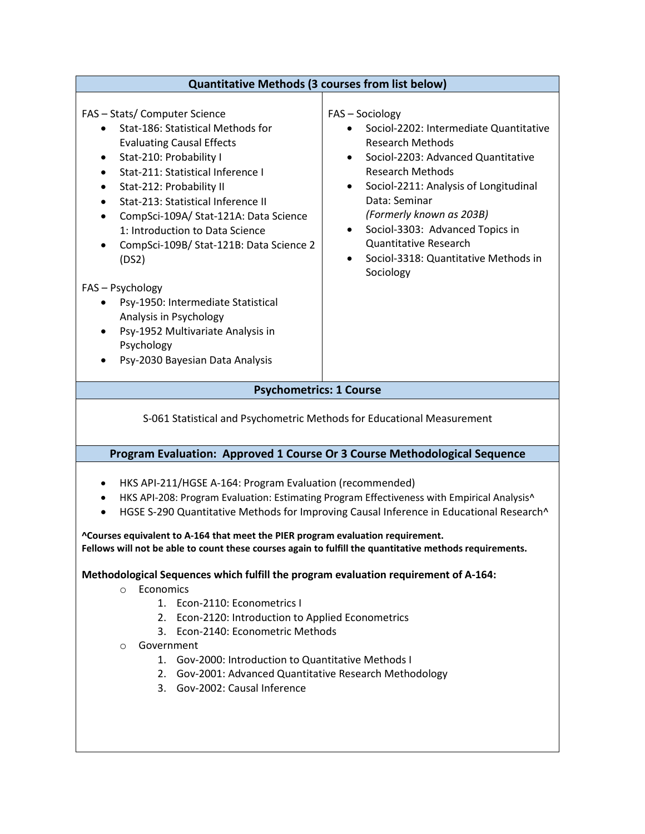| <b>Quantitative Methods (3 courses from list below)</b>                                                                                                                                                                                                                                                                                                                                                                                                                                                                                                                      |                                                                                                                                                                                                                                                                                                                                                                                    |
|------------------------------------------------------------------------------------------------------------------------------------------------------------------------------------------------------------------------------------------------------------------------------------------------------------------------------------------------------------------------------------------------------------------------------------------------------------------------------------------------------------------------------------------------------------------------------|------------------------------------------------------------------------------------------------------------------------------------------------------------------------------------------------------------------------------------------------------------------------------------------------------------------------------------------------------------------------------------|
| FAS - Stats/ Computer Science<br>Stat-186: Statistical Methods for<br><b>Evaluating Causal Effects</b><br>Stat-210: Probability I<br>Stat-211: Statistical Inference I<br>Stat-212: Probability II<br>Stat-213: Statistical Inference II<br>CompSci-109A/ Stat-121A: Data Science<br>1: Introduction to Data Science<br>CompSci-109B/ Stat-121B: Data Science 2<br>(DS2)<br>FAS - Psychology<br>Psy-1950: Intermediate Statistical<br>$\bullet$<br>Analysis in Psychology<br>Psy-1952 Multivariate Analysis in<br>$\bullet$<br>Psychology<br>Psy-2030 Bayesian Data Analysis | FAS - Sociology<br>Sociol-2202: Intermediate Quantitative<br><b>Research Methods</b><br>Sociol-2203: Advanced Quantitative<br><b>Research Methods</b><br>Sociol-2211: Analysis of Longitudinal<br>٠<br>Data: Seminar<br>(Formerly known as 203B)<br>Sociol-3303: Advanced Topics in<br>٠<br><b>Quantitative Research</b><br>Sociol-3318: Quantitative Methods in<br>٠<br>Sociology |
| <b>Psychometrics: 1 Course</b>                                                                                                                                                                                                                                                                                                                                                                                                                                                                                                                                               |                                                                                                                                                                                                                                                                                                                                                                                    |
| S-061 Statistical and Psychometric Methods for Educational Measurement                                                                                                                                                                                                                                                                                                                                                                                                                                                                                                       |                                                                                                                                                                                                                                                                                                                                                                                    |
| Program Evaluation: Approved 1 Course Or 3 Course Methodological Sequence                                                                                                                                                                                                                                                                                                                                                                                                                                                                                                    |                                                                                                                                                                                                                                                                                                                                                                                    |
| HKS API-211/HGSE A-164: Program Evaluation (recommended)<br>$\bullet$<br>HKS API-208: Program Evaluation: Estimating Program Effectiveness with Empirical Analysis^<br>HGSE S-290 Quantitative Methods for Improving Causal Inference in Educational Research^<br>^Courses equivalent to A-164 that meet the PIER program evaluation requirement.<br>Fellows will not be able to count these courses again to fulfill the quantitative methods requirements.<br>Methodological Sequences which fulfill the program evaluation requirement of A-164:                          |                                                                                                                                                                                                                                                                                                                                                                                    |
| Economics<br>$\Omega$<br>1. Econ-2110: Econometrics I<br>2. Econ-2120: Introduction to Applied Econometrics<br>3. Econ-2140: Econometric Methods<br>Government<br>O<br>1. Gov-2000: Introduction to Quantitative Methods I<br>2. Gov-2001: Advanced Quantitative Research Methodology<br>3. Gov-2002: Causal Inference                                                                                                                                                                                                                                                       |                                                                                                                                                                                                                                                                                                                                                                                    |
|                                                                                                                                                                                                                                                                                                                                                                                                                                                                                                                                                                              |                                                                                                                                                                                                                                                                                                                                                                                    |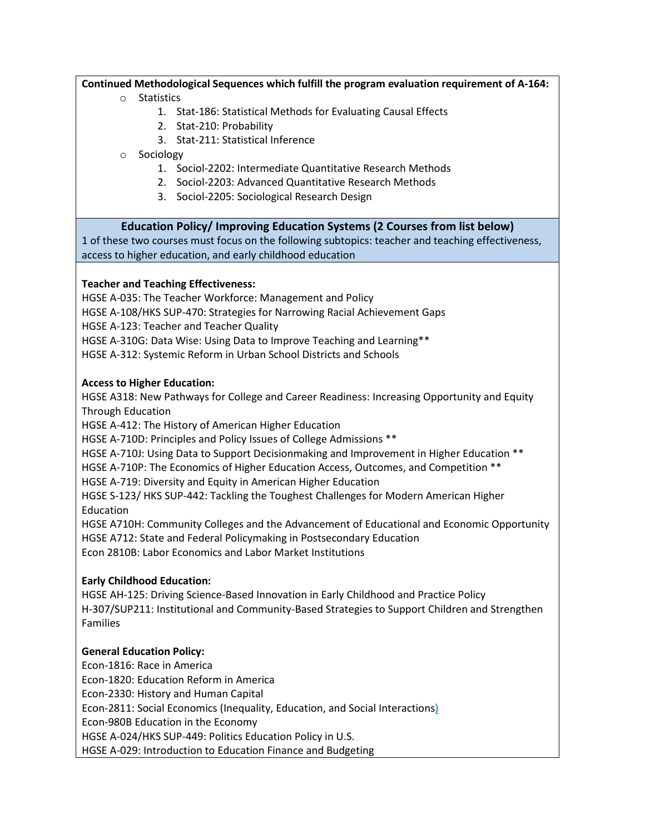### **Continued Methodological Sequences which fulfill the program evaluation requirement of A-164:**

#### o Statistics

- 1. [Stat-186: Statistical Methods for Evaluating Causal Effects](https://locator.tlt.harvard.edu/course/colgsas-110022)
- 2. [Stat-210: Probability](https://locator.tlt.harvard.edu/course/colgsas-111696)
- 3. [Stat-211: Statistical Inference](https://locator.tlt.harvard.edu/course/colgsas-111130)

## o Sociology

- 1. Sociol-2202: [Intermediate Quantitative Research Methods](https://locator.tlt.harvard.edu/course/colgsas-119985)
- 2. [Sociol-2203: Advanced Quantitative Research Methods](https://courses.harvard.edu/detail?q=id:d_colgsas_2018_1_112874_001&returnUrl=search%3Ffq_dept_area_category%3Ddept_area_category%253A%2522Sociology%2522%26fq_day%3Dday%253A%2522Thursday%2522%26fq_offered_fl%3Doffered_fl%253A%2522Offered%2522%26fq_school_nm%3Dschool_nm%253A%2522Faculty%2520of%2520Arts%2520and%2520Sciences%2522%26q%3D%26sort%3Dcourse_title%2520asc%26start%3D25%26rows%3D25)
- 3. [Sociol-2205: Sociological Research Design](https://locator.tlt.harvard.edu/course/colgsas-125089/2018/spring/20798)

# **Education Policy/ Improving Education Systems (2 Courses from list below)**

1 of these two courses must focus on the following subtopics: teacher and teaching effectiveness, access to higher education, and early childhood education

### **Teacher and Teaching Effectiveness:**

HGSE A-035: The Teacher Workforce: Management and Policy HGSE A-108/HKS SUP-470: Strategies for Narrowing Racial Achievement Gaps HGSE A-123: Teacher and Teacher Quality

HGSE A-310G: Data Wise: Using Data to Improve Teaching and Learning\*\*

HGSE A-312: Systemic Reform in Urban School Districts and Schools

### **Access to Higher Education:**

HGSE A318: New Pathways for College and Career Readiness: Increasing Opportunity and Equity Through Education

HGSE A-412: The History of American Higher Education

HGSE A-710D: Principles and Policy Issues of College Admissions \*\*

HGSE A-710J: Using Data to Support Decisionmaking and Improvement in Higher Education \*\*

HGSE A-710P: The Economics of Higher Education Access, Outcomes, and Competition \*\*

HGSE A-719: Diversity and Equity in American Higher Education

HGSE S-123/ HKS SUP-442: Tackling the Toughest Challenges for Modern American Higher Education

HGSE A710H: Community Colleges and the Advancement of Educational and Economic Opportunity HGSE A712: State and Federal Policymaking in Postsecondary Education

Econ 2810B: Labor Economics and Labor Market Institutions

# **Early Childhood Education:**

HGSE AH-125: Driving Science-Based Innovation in Early Childhood and Practice Policy H-307/SUP211: Institutional and Community-Based Strategies to Support Children and Strengthen Families

# **General Education Policy:**

Econ-1816: Race in America Econ-1820: Education Reform in America Econ-2330: History and Human Capital Econ-2811: Social Economics (Inequality, Education, and Social Interactions) Econ-980B Education in the Economy HGSE A-024/HKS SUP-449: Politics Education Policy in U.S. HGSE A-029: Introduction to Education Finance and Budgeting